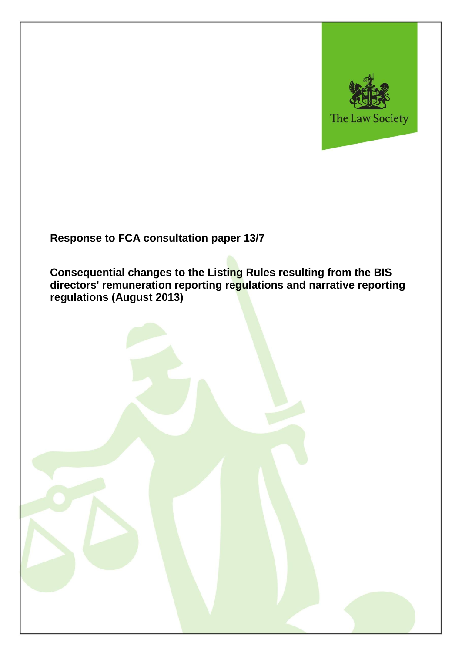

## **Response to FCA consultation paper 13/7**

**Consequential changes to the Listing Rules resulting from the BIS directors' remuneration reporting regulations and narrative reporting regulations (August 2013)**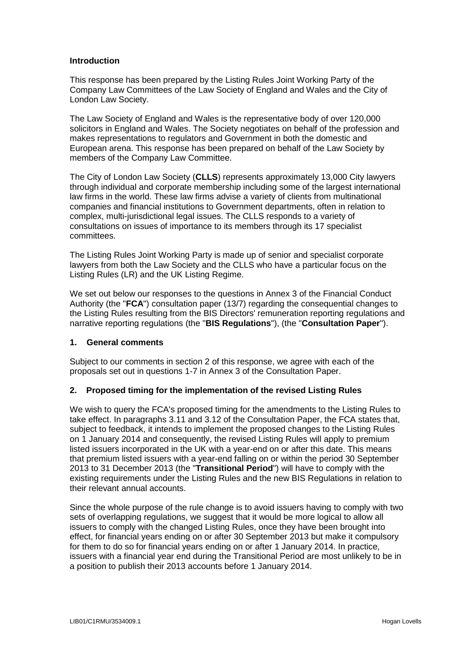## **Introduction**

This response has been prepared by the Listing Rules Joint Working Party of the Company Law Committees of the Law Society of England and Wales and the City of London Law Society.

The Law Society of England and Wales is the representative body of over 120,000 solicitors in England and Wales. The Society negotiates on behalf of the profession and makes representations to regulators and Government in both the domestic and European arena. This response has been prepared on behalf of the Law Society by members of the Company Law Committee.

The City of London Law Society (**CLLS**) represents approximately 13,000 City lawyers through individual and corporate membership including some of the largest international law firms in the world. These law firms advise a variety of clients from multinational companies and financial institutions to Government departments, often in relation to complex, multi-jurisdictional legal issues. The CLLS responds to a variety of consultations on issues of importance to its members through its 17 specialist committees.

The Listing Rules Joint Working Party is made up of senior and specialist corporate lawyers from both the Law Society and the CLLS who have a particular focus on the Listing Rules (LR) and the UK Listing Regime.

We set out below our responses to the questions in Annex 3 of the Financial Conduct Authority (the "**FCA**") consultation paper (13/7) regarding the consequential changes to the Listing Rules resulting from the BIS Directors' remuneration reporting regulations and narrative reporting regulations (the "**BIS Regulations**"), (the "**Consultation Paper**").

## **1. General comments**

Subject to our comments in section 2 of this response, we agree with each of the proposals set out in questions 1-7 in Annex 3 of the Consultation Paper.

## **2. Proposed timing for the implementation of the revised Listing Rules**

We wish to query the FCA's proposed timing for the amendments to the Listing Rules to take effect. In paragraphs 3.11 and 3.12 of the Consultation Paper, the FCA states that, subject to feedback, it intends to implement the proposed changes to the Listing Rules on 1 January 2014 and consequently, the revised Listing Rules will apply to premium listed issuers incorporated in the UK with a year-end on or after this date. This means that premium listed issuers with a year-end falling on or within the period 30 September 2013 to 31 December 2013 (the "**Transitional Period**") will have to comply with the existing requirements under the Listing Rules and the new BIS Regulations in relation to their relevant annual accounts.

Since the whole purpose of the rule change is to avoid issuers having to comply with two sets of overlapping regulations, we suggest that it would be more logical to allow all issuers to comply with the changed Listing Rules, once they have been brought into effect, for financial years ending on or after 30 September 2013 but make it compulsory for them to do so for financial years ending on or after 1 January 2014. In practice, issuers with a financial year end during the Transitional Period are most unlikely to be in a position to publish their 2013 accounts before 1 January 2014.